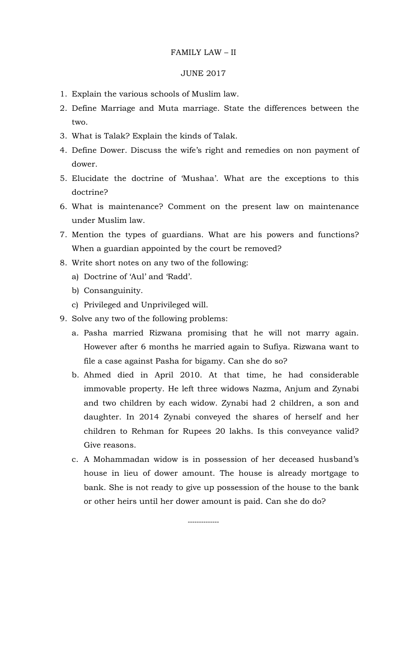#### FAMILY LAW – II

#### JUNE 2017

- 1. Explain the various schools of Muslim law.
- 2. Define Marriage and Muta marriage. State the differences between the two.
- 3. What is Talak? Explain the kinds of Talak.
- 4. Define Dower. Discuss the wife's right and remedies on non payment of dower.
- 5. Elucidate the doctrine of 'Mushaa'. What are the exceptions to this doctrine?
- 6. What is maintenance? Comment on the present law on maintenance under Muslim law.
- 7. Mention the types of guardians. What are his powers and functions? When a guardian appointed by the court be removed?
- 8. Write short notes on any two of the following:
	- a) Doctrine of 'Aul' and 'Radd'.
	- b) Consanguinity.
	- c) Privileged and Unprivileged will.
- 9. Solve any two of the following problems:
	- a. Pasha married Rizwana promising that he will not marry again. However after 6 months he married again to Sufiya. Rizwana want to file a case against Pasha for bigamy. Can she do so?
	- b. Ahmed died in April 2010. At that time, he had considerable immovable property. He left three widows Nazma, Anjum and Zynabi and two children by each widow. Zynabi had 2 children, a son and daughter. In 2014 Zynabi conveyed the shares of herself and her children to Rehman for Rupees 20 lakhs. Is this conveyance valid? Give reasons.
	- c. A Mohammadan widow is in possession of her deceased husband's house in lieu of dower amount. The house is already mortgage to bank. She is not ready to give up possession of the house to the bank or other heirs until her dower amount is paid. Can she do do?

--------------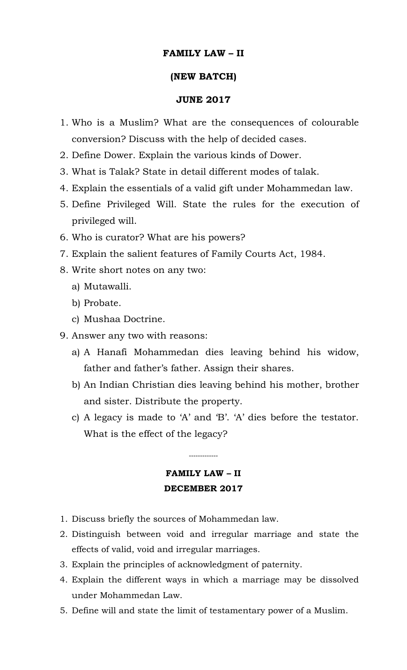## **FAMILY LAW – II**

### **(NEW BATCH)**

### **JUNE 2017**

- 1. Who is a Muslim? What are the consequences of colourable conversion? Discuss with the help of decided cases.
- 2. Define Dower. Explain the various kinds of Dower.
- 3. What is Talak? State in detail different modes of talak.
- 4. Explain the essentials of a valid gift under Mohammedan law.
- 5. Define Privileged Will. State the rules for the execution of privileged will.
- 6. Who is curator? What are his powers?
- 7. Explain the salient features of Family Courts Act, 1984.
- 8. Write short notes on any two:
	- a) Mutawalli.
	- b) Probate.
	- c) Mushaa Doctrine.
- 9. Answer any two with reasons:
	- a) A Hanafi Mohammedan dies leaving behind his widow, father and father's father. Assign their shares.
	- b) An Indian Christian dies leaving behind his mother, brother and sister. Distribute the property.
	- c) A legacy is made to 'A' and 'B'. 'A' dies before the testator. What is the effect of the legacy?

# **FAMILY LAW – II DECEMBER 2017**

-------------

- 1. Discuss briefly the sources of Mohammedan law.
- 2. Distinguish between void and irregular marriage and state the effects of valid, void and irregular marriages.
- 3. Explain the principles of acknowledgment of paternity.
- 4. Explain the different ways in which a marriage may be dissolved under Mohammedan Law.
- 5. Define will and state the limit of testamentary power of a Muslim.